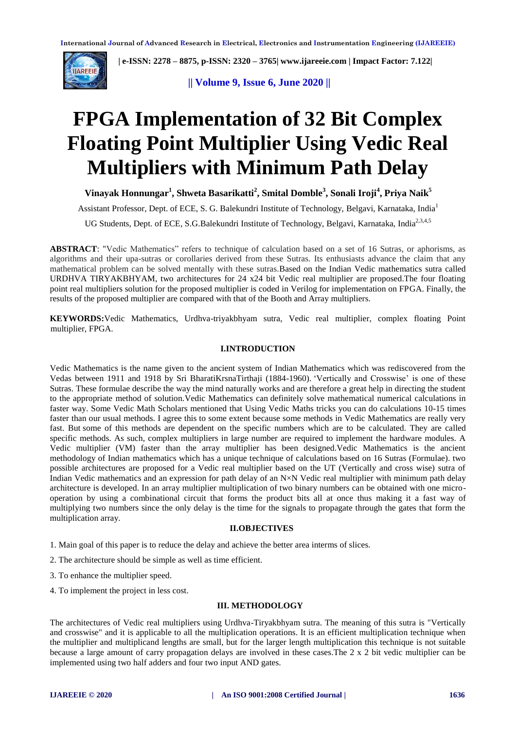

 **| e-ISSN: 2278 – 8875, p-ISSN: 2320 – 3765[| www.ijareeie.com](http://www.ijareeie.com/) | Impact Factor: 7.122|** 

**|| Volume 9, Issue 6, June 2020 ||** 

# **FPGA Implementation of 32 Bit Complex Floating Point Multiplier Using Vedic Real Multipliers with Minimum Path Delay**

**Vinayak Honnungar<sup>1</sup> , Shweta Basarikatti<sup>2</sup> , Smital Domble<sup>3</sup> , Sonali Iroji<sup>4</sup> , Priya Naik<sup>5</sup>**

Assistant Professor, Dept. of ECE, S. G. Balekundri Institute of Technology, Belgavi, Karnataka, India<sup>1</sup>

UG Students, Dept. of ECE, S.G.Balekundri Institute of Technology, Belgavi, Karnataka, India<sup>2,3,4,5</sup>

**ABSTRACT**: "Vedic Mathematics" refers to technique of calculation based on a set of 16 Sutras, or aphorisms, as algorithms and their upa-sutras or corollaries derived from these Sutras. Its enthusiasts advance the claim that any mathematical problem can be solved mentally with these sutras.Based on the Indian Vedic mathematics sutra called URDHVA TIRYAKBHYAM, two architectures for 24 x24 bit Vedic real multiplier are proposed.The four floating point real multipliers solution for the proposed multiplier is coded in Verilog for implementation on FPGA. Finally, the results of the proposed multiplier are compared with that of the Booth and Array multipliers.

**KEYWORDS:**Vedic Mathematics, Urdhva-triyakbhyam sutra, Vedic real multiplier, complex floating Point multiplier, FPGA.

#### **I.INTRODUCTION**

Vedic Mathematics is the name given to the ancient system of Indian Mathematics which was rediscovered from the Vedas between 1911 and 1918 by Sri BharatiKrsnaTirthaji (1884-1960). 'Vertically and Crosswise' is one of these Sutras. These formulae describe the way the mind naturally works and are therefore a great help in directing the student to the appropriate method of solution.Vedic Mathematics can definitely solve mathematical numerical calculations in faster way. Some Vedic Math Scholars mentioned that Using Vedic Maths tricks you can do calculations 10-15 times faster than our usual methods. I agree this to some extent because some methods in Vedic Mathematics are really very fast. But some of this methods are dependent on the specific numbers which are to be calculated. They are called specific methods. As such, complex multipliers in large number are required to implement the hardware modules. A Vedic multiplier (VM) faster than the array multiplier has been designed.Vedic Mathematics is the ancient methodology of Indian mathematics which has a unique technique of calculations based on 16 Sutras (Formulae). two possible architectures are proposed for a Vedic real multiplier based on the UT (Vertically and cross wise) sutra of Indian Vedic mathematics and an expression for path delay of an N×N Vedic real multiplier with minimum path delay architecture is developed. In an array multiplier multiplication of two binary numbers can be obtained with one microoperation by using a combinational circuit that forms the product bits all at once thus making it a fast way of multiplying two numbers since the only delay is the time for the signals to propagate through the gates that form the multiplication array.

## **II.OBJECTIVES**

1. Main goal of this paper is to reduce the delay and achieve the better area interms of slices.

- 2. The architecture should be simple as well as time efficient.
- 3. To enhance the multiplier speed.
- 4. To implement the project in less cost.

#### **III. METHODOLOGY**

The architectures of Vedic real multipliers using Urdhva-Tiryakbhyam sutra. The meaning of this sutra is "Vertically and crosswise" and it is applicable to all the multiplication operations. It is an efficient multiplication technique when the multiplier and multiplicand lengths are small, but for the larger length multiplication this technique is not suitable because a large amount of carry propagation delays are involved in these cases.The 2 x 2 bit vedic multiplier can be implemented using two half adders and four two input AND gates.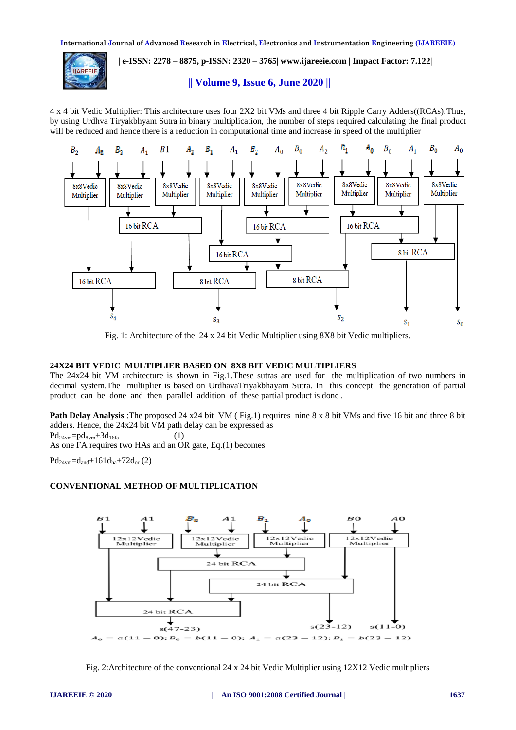

 **| e-ISSN: 2278 – 8875, p-ISSN: 2320 – 3765[| www.ijareeie.com](http://www.ijareeie.com/) | Impact Factor: 7.122|** 

**|| Volume 9, Issue 6, June 2020 ||** 

4 x 4 bit Vedic Multiplier: This architecture uses four 2X2 bit VMs and three 4 bit Ripple Carry Adders((RCAs).Thus, by using Urdhva Tiryakbhyam Sutra in binary multiplication, the number of steps required calculating the final product will be reduced and hence there is a reduction in computational time and increase in speed of the multiplier



Fig. 1: Architecture of the 24 x 24 bit Vedic Multiplier using 8X8 bit Vedic multipliers.

#### **24X24 BIT VEDIC MULTIPLIER BASED ON 8X8 BIT VEDIC MULTIPLIERS**

The 24x24 bit VM architecture is shown in Fig.1.These sutras are used for the multiplication of two numbers in decimal system.The multiplier is based on UrdhavaTriyakbhayam Sutra. In this concept the generation of partial product can be done and then parallel addition of these partial product is done .

**Path Delay Analysis** :The proposed 24 x24 bit VM (Fig.1) requires nine 8 x 8 bit VMs and five 16 bit and three 8 bit adders. Hence, the 24x24 bit VM path delay can be expressed as  $Pd_{24vm} = pd_{8vm} + 3d_{16fa}$  (1)

As one FA requires two HAs and an OR gate, Eq.(1) becomes

 $Pd_{24vm} = d_{and} + 161d_{ha} + 72d_{or} (2)$ 

## **CONVENTIONAL METHOD OF MULTIPLICATION**



Fig. 2:Architecture of the conventional 24 x 24 bit Vedic Multiplier using 12X12 Vedic multipliers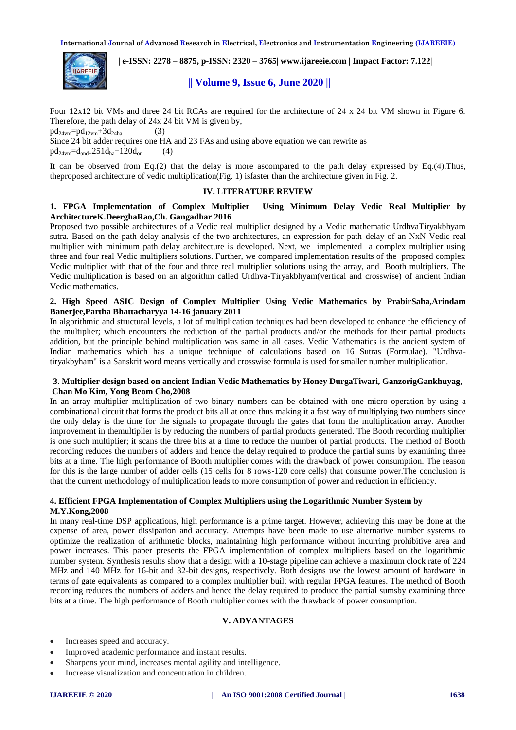

 **| e-ISSN: 2278 – 8875, p-ISSN: 2320 – 3765[| www.ijareeie.com](http://www.ijareeie.com/) | Impact Factor: 7.122|** 

# **|| Volume 9, Issue 6, June 2020 ||**

Four 12x12 bit VMs and three 24 bit RCAs are required for the architecture of 24 x 24 bit VM shown in Figure 6. Therefore, the path delay of 24x 24 bit VM is given by,

 $pd_{24} = pd_{12} + 3d_{24}$  (3)

Since 24 bit adder requires one HA and 23 FAs and using above equation we can rewrite as  $pd_{24vm} = d_{and} + 251d_{ha} + 120d_{or}$  (4)

It can be observed from Eq.(2) that the delay is more ascompared to the path delay expressed by Eq.(4).Thus, theproposed architecture of vedic multiplication(Fig. 1) isfaster than the architecture given in Fig. 2.

#### **IV. LITERATURE REVIEW**

### **1. FPGA Implementation of Complex Multiplier Using Minimum Delay Vedic Real Multiplier by ArchitectureK.DeerghaRao,Ch. Gangadhar 2016**

Proposed two possible architectures of a Vedic real multiplier designed by a Vedic mathematic UrdhvaTiryakbhyam sutra. Based on the path delay analysis of the two architectures, an expression for path delay of an NxN Vedic real multiplier with minimum path delay architecture is developed. Next, we implemented a complex multiplier using three and four real Vedic multipliers solutions. Further, we compared implementation results of the proposed complex Vedic multiplier with that of the four and three real multiplier solutions using the array, and Booth multipliers. The Vedic multiplication is based on an algorithm called Urdhva-Tiryakbhyam(vertical and crosswise) of ancient Indian Vedic mathematics.

#### **2. High Speed ASIC Design of Complex Multiplier Using Vedic Mathematics by PrabirSaha,Arindam Banerjee,Partha Bhattacharyya 14-16 january 2011**

In algorithmic and structural levels, a lot of multiplication techniques had been developed to enhance the efficiency of the multiplier; which encounters the reduction of the partial products and/or the methods for their partial products addition, but the principle behind multiplication was same in all cases. Vedic Mathematics is the ancient system of Indian mathematics which has a unique technique of calculations based on 16 Sutras (Formulae). "Urdhvatiryakbyham" is a Sanskrit word means vertically and crosswise formula is used for smaller number multiplication.

#### **3. Multiplier design based on ancient Indian Vedic Mathematics by Honey DurgaTiwari, GanzorigGankhuyag, Chan Mo Kim, Yong Beom Cho,2008**

In an array multiplier multiplication of two binary numbers can be obtained with one micro-operation by using a combinational circuit that forms the product bits all at once thus making it a fast way of multiplying two numbers since the only delay is the time for the signals to propagate through the gates that form the multiplication array. Another improvement in themultiplier is by reducing the numbers of partial products generated. The Booth recording multiplier is one such multiplier; it scans the three bits at a time to reduce the number of partial products. The method of Booth recording reduces the numbers of adders and hence the delay required to produce the partial sums by examining three bits at a time. The high performance of Booth multiplier comes with the drawback of power consumption. The reason for this is the large number of adder cells (15 cells for 8 rows-120 core cells) that consume power.The conclusion is that the current methodology of multiplication leads to more consumption of power and reduction in efficiency.

## **4. Efficient FPGA Implementation of Complex Multipliers using the Logarithmic Number System by M.Y.Kong,2008**

In many real-time DSP applications, high performance is a prime target. However, achieving this may be done at the expense of area, power dissipation and accuracy. Attempts have been made to use alternative number systems to optimize the realization of arithmetic blocks, maintaining high performance without incurring prohibitive area and power increases. This paper presents the FPGA implementation of complex multipliers based on the logarithmic number system. Synthesis results show that a design with a 10-stage pipeline can achieve a maximum clock rate of 224 MHz and 140 MHz for 16-bit and 32-bit designs, respectively. Both designs use the lowest amount of hardware in terms of gate equivalents as compared to a complex multiplier built with regular FPGA features. The method of Booth recording reduces the numbers of adders and hence the delay required to produce the partial sumsby examining three bits at a time. The high performance of Booth multiplier comes with the drawback of power consumption.

## **V. ADVANTAGES**

- Increases speed and accuracy.
- Improved academic performance and instant results.
- Sharpens your mind, increases mental agility and intelligence.
- Increase visualization and concentration in children.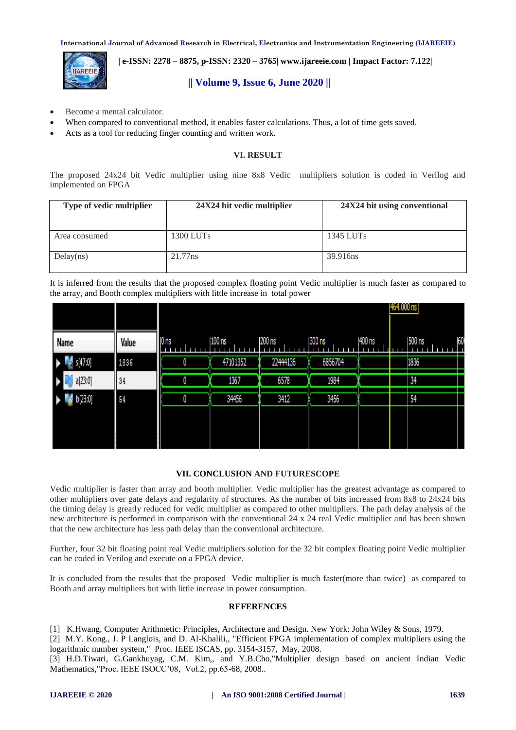**IAREEIE** 

 **| e-ISSN: 2278 – 8875, p-ISSN: 2320 – 3765[| www.ijareeie.com](http://www.ijareeie.com/) | Impact Factor: 7.122|** 

# **|| Volume 9, Issue 6, June 2020 ||**

- Become a mental calculator.
- When compared to conventional method, it enables faster calculations. Thus, a lot of time gets saved.
- Acts as a tool for reducing finger counting and written work.

#### **VI. RESULT**

The proposed 24x24 bit Vedic multiplier using nine 8x8 Vedic multipliers solution is coded in Verilog and implemented on FPGA

| Type of vedic multiplier | 24X24 bit vedic multiplier | 24X24 bit using conventional |  |  |  |
|--------------------------|----------------------------|------------------------------|--|--|--|
| Area consumed            | $1300$ LUTs                | 1345 LUTs                    |  |  |  |
| Delay(ns)                | 21.77ns                    | 39.916ns                     |  |  |  |

It is inferred from the results that the proposed complex floating point Vedic multiplier is much faster as compared to the array, and Booth complex multipliers with little increase in total power

|             |       |                 |          |          |         |        |  | 464.000 ns |    |  |
|-------------|-------|-----------------|----------|----------|---------|--------|--|------------|----|--|
| <b>Name</b> | Value | 0 <sub>ns</sub> | $100$ ns | 200 ns   | 300 ns  | 400 ns |  | 500 ns     | 60 |  |
| s[47:0]     | 1836  | 0               | 47101352 | 22444136 | 6856704 |        |  | 1836       |    |  |
| a[23:0]     | 34    | 0               | 1367     | 6578     | 1984    |        |  | 34         |    |  |
| b[23:0]     | 54    | 0               | 34456    | 3412     | 3456    |        |  | 54         |    |  |
|             |       |                 |          |          |         |        |  |            |    |  |

#### **VII. CONCLUSION AND FUTURESCOPE**

Vedic multiplier is faster than array and booth multiplier. Vedic multiplier has the greatest advantage as compared to other multipliers over gate delays and regularity of structures. As the number of bits increased from 8x8 to 24x24 bits the timing delay is greatly reduced for vedic multiplier as compared to other multipliers. The path delay analysis of the new architecture is performed in comparison with the conventional 24 x 24 real Vedic multiplier and has been shown that the new architecture has less path delay than the conventional architecture.

Further, four 32 bit floating point real Vedic multipliers solution for the 32 bit complex floating point Vedic multiplier can be coded in Verilog and execute on a FPGA device.

It is concluded from the results that the proposed Vedic multiplier is much faster(more than twice) as compared to Booth and array multipliers but with little increase in power consumption.

## **REFERENCES**

[1] K.Hwang, Computer Arithmetic: Principles, Architecture and Design. New York: John Wiley & Sons, 1979.

[2] M.Y. Kong., J. P Langlois, and D. Al-Khalili,, "Efficient FPGA implementation of complex multipliers using the logarithmic number system," Proc. IEEE ISCAS, pp. 3154-3157, May, 2008.

[3] H.D.Tiwari, G.Gankhuyag, C.M. Kim,, and Y.B.Cho,"Multiplier design based on ancient Indian Vedic Mathematics,"Proc. IEEE ISOCC'08, Vol.2, pp.65-68, 2008..